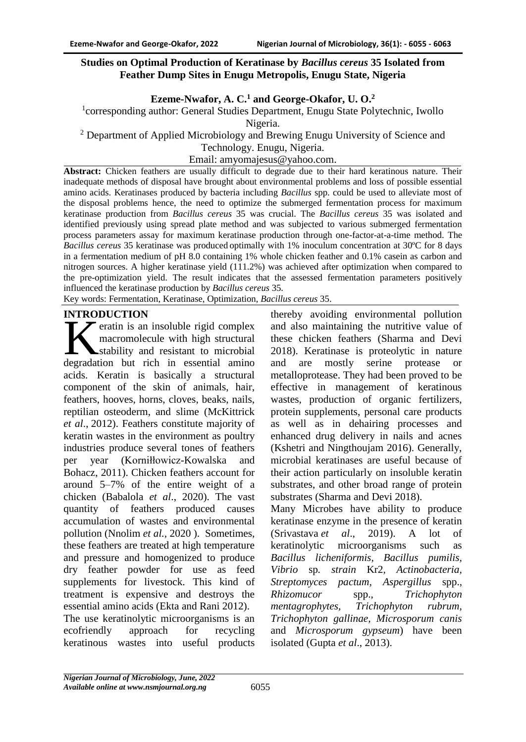### **Studies on Optimal Production of Keratinase by** *Bacillus cereus* **35 Isolated from Feather Dump Sites in Enugu Metropolis, Enugu State, Nigeria**

## **Ezeme-Nwafor, A. C.<sup>1</sup> and George-Okafor, U. O.<sup>2</sup>**

<sup>1</sup>corresponding author: General Studies Department, Enugu State Polytechnic, Iwollo Nigeria.

<sup>2</sup> Department of Applied Microbiology and Brewing Enugu University of Science and

Technology. Enugu, Nigeria.

Email: amyomajesus@yahoo.com.

**Abstract:** Chicken feathers are usually difficult to degrade due to their hard keratinous nature. Their inadequate methods of disposal have brought about environmental problems and loss of possible essential amino acids. Keratinases produced by bacteria including *Bacillus* spp. could be used to alleviate most of the disposal problems hence, the need to optimize the submerged fermentation process for maximum keratinase production from *Bacillus cereus* 35 was crucial. The *Bacillus cereus* 35 was isolated and identified previously using spread plate method and was subjected to various submerged fermentation process parameters assay for maximum keratinase production through one-factor-at-a-time method. The *Bacillus cereus* 35 keratinase was produced optimally with 1% inoculum concentration at 30ºC for 8 days in a fermentation medium of pH 8.0 containing 1% whole chicken feather and 0.1% casein as carbon and nitrogen sources. A higher keratinase yield (111.2%) was achieved after optimization when compared to the pre-optimization yield. The result indicates that the assessed fermentation parameters positively influenced the keratinase production by *Bacillus cereus* 35.

Key words: Fermentation, Keratinase, Optimization, *Bacillus cereus* 35.

### **INTRODUCTION**

eratin is an insoluble rigid complex macromolecule with high structural stability and resistant to microbial Fraction is an insoluble rigid complex<br>
macromolecule with high structural<br>
degradation but rich in essential amino acids. Keratin is basically a structural component of the skin of animals, hair, feathers, hooves, horns, cloves, beaks, nails, reptilian osteoderm, and slime (McKittrick *et al*., [2012\)](file:///C:/Users/DELL/Documents/Microbial%20decomposition%20of%20keratin%20in%20natureâa%20new%20hypothesis%20of%20industrial%20relevance.htm%23CR54). Feathers constitute majority of keratin wastes in the environment as poultry industries produce several tones of feathers per year (Korniłłowicz-Kowalska and Bohacz, 2011). Chicken feathers account for around 5–7% of the entire weight of a chicken (Babalola *et al*., 2020). The vast quantity of feathers produced causes accumulation of wastes and environmental pollution (Nnolim *et al.,* 2020 ). Sometimes, these feathers are treated at high temperature and pressure and homogenized to produce dry feather powder for use as feed supplements for livestock. This kind of treatment is expensive and destroys the essential amino acids (Ekta and Rani [2012\)](https://link.springer.com/article/10.1007/s40093-018-0204-z#ref-CR3).

The use keratinolytic microorganisms is an ecofriendly approach for recycling keratinous wastes into useful products

thereby avoiding environmental pollution and also maintaining the nutritive value of these chicken feathers (Sharma and Devi 2018). Keratinase is proteolytic in nature and are mostly serine protease or metalloprotease. They had been proved to be effective in management of keratinous wastes, production of organic fertilizers, protein supplements, personal care products as well as in dehairing processes and enhanced drug delivery in nails and acnes (Kshetri and Ningthoujam 2016). Generally, microbial keratinases are useful because of their action particularly on insoluble keratin substrates, and other broad range of protein substrates (Sharma and Devi 2018).

Many Microbes have ability to produce keratinase enzyme in the presence of keratin (Srivastava *et al*., 2019). A lot of keratinolytic microorganisms such as *Bacillus licheniformis, Bacillus pumilis, Vibrio* sp*. strain* Kr2*, Actinobacteria, Streptomyces pactum, Aspergillus* spp., *Rhizomucor* spp., *Trichophyton mentagrophytes, Trichophyton rubrum, Trichophyton gallinae, Microsporum canis*  and *Microsporum gypseum*) have been isolated (Gupta *et al*., [2013\)](file:///C:/Users/DELL/Documents/Microbial%20decomposition%20of%20keratin%20in%20natureâa%20new%20hypothesis%20of%20industrial%20relevance.htm%23CR34).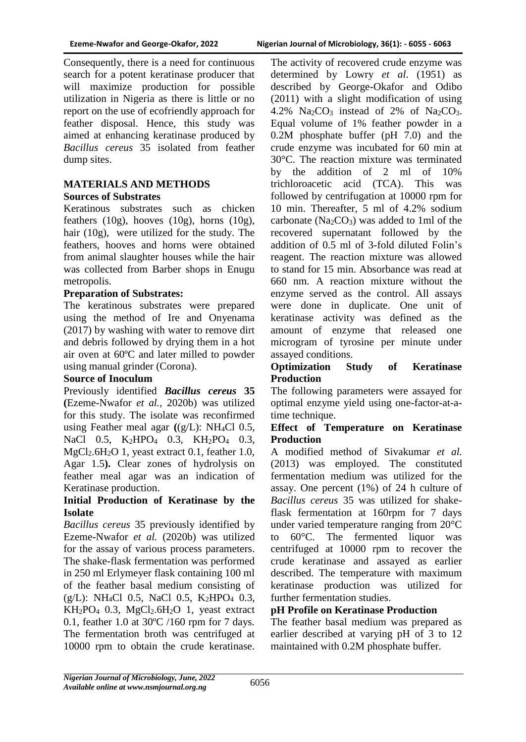Consequently, there is a need for continuous search for a potent keratinase producer that will maximize production for possible utilization in Nigeria as there is little or no report on the use of ecofriendly approach for feather disposal. Hence, this study was aimed at enhancing keratinase produced by *Bacillus cereus* 35 isolated from feather dump sites.

## **MATERIALS AND METHODS Sources of Substrates**

Keratinous substrates such as chicken feathers  $(10g)$ , hooves  $(10g)$ , horns  $(10g)$ , hair (10g), were utilized for the study. The feathers, hooves and horns were obtained from animal slaughter houses while the hair was collected from Barber shops in Enugu metropolis.

# **Preparation of Substrates:**

The keratinous substrates were prepared using the method of Ire and Onyenama (2017) by washing with water to remove dirt and debris followed by drying them in a hot air oven at 60ºC and later milled to powder using manual grinder (Corona).

# **Source of Inoculum**

Previously identified *Bacillus cereus* **35 (**Ezeme-Nwafor *et al.,* 2020b) was utilized for this study. The isolate was reconfirmed using Feather meal agar **(**(g/L): NH4Cl 0.5, NaCl 0.5, K<sub>2</sub>HPO<sub>4</sub> 0.3, KH<sub>2</sub>PO<sub>4</sub> 0.3, MgCl<sub>2</sub>.6H<sub>2</sub>O 1, yeast extract 0.1, feather 1.0, Agar 1.5**).** Clear zones of hydrolysis on feather meal agar was an indication of Keratinase production.

## **Initial Production of Keratinase by the Isolate**

*Bacillus cereus* 35 previously identified by Ezeme-Nwafor *et al.* (2020b) was utilized for the assay of various process parameters. The shake-flask fermentation was performed in 250 ml Erlymeyer flask containing 100 ml of the feather basal medium consisting of  $(g/L)$ : NH<sub>4</sub>Cl 0.5, NaCl 0.5, K<sub>2</sub>HPO<sub>4</sub> 0.3,  $KH_2PO_4$  0.3,  $MgCl_2.6H_2O$  1, yeast extract 0.1, feather 1.0 at 30ºC /160 rpm for 7 days. The fermentation broth was centrifuged at 10000 rpm to obtain the crude keratinase.

The activity of recovered crude enzyme was determined by Lowry *et al*. (1951) as described by George-Okafor and Odibo (2011) with a slight modification of using 4.2%  $Na<sub>2</sub>CO<sub>3</sub>$  instead of 2% of  $Na<sub>2</sub>CO<sub>3</sub>$ . Equal volume of 1% feather powder in a 0.2M phosphate buffer (pH 7.0) and the crude enzyme was incubated for 60 min at 30°C. The reaction mixture was terminated by the addition of 2 ml of 10% trichloroacetic acid (TCA). This was followed by centrifugation at 10000 rpm for 10 min. Thereafter, 5 ml of 4.2% sodium carbonate ( $Na<sub>2</sub>CO<sub>3</sub>$ ) was added to 1ml of the recovered supernatant followed by the addition of 0.5 ml of 3-fold diluted Folin's reagent. The reaction mixture was allowed to stand for 15 min. Absorbance was read at 660 nm. A reaction mixture without the enzyme served as the control. All assays were done in duplicate. One unit of keratinase activity was defined as the amount of enzyme that released one microgram of tyrosine per minute under assayed conditions.

## **Optimization Study of Keratinase Production**

The following parameters were assayed for optimal enzyme yield using one-factor-at-atime technique.

## **Effect of Temperature on Keratinase Production**

A modified method of Sivakumar *et al.*  (2013) was employed. The constituted fermentation medium was utilized for the assay. One percent (1%) of 24 h culture of *Bacillus cereus* 35 was utilized for shakeflask fermentation at 160rpm for 7 days under varied temperature ranging from 20°C to 60°C. The fermented liquor was centrifuged at 10000 rpm to recover the crude keratinase and assayed as earlier described. The temperature with maximum keratinase production was utilized for further fermentation studies.

# **pH Profile on Keratinase Production**

The feather basal medium was prepared as earlier described at varying pH of 3 to 12 maintained with 0.2M phosphate buffer.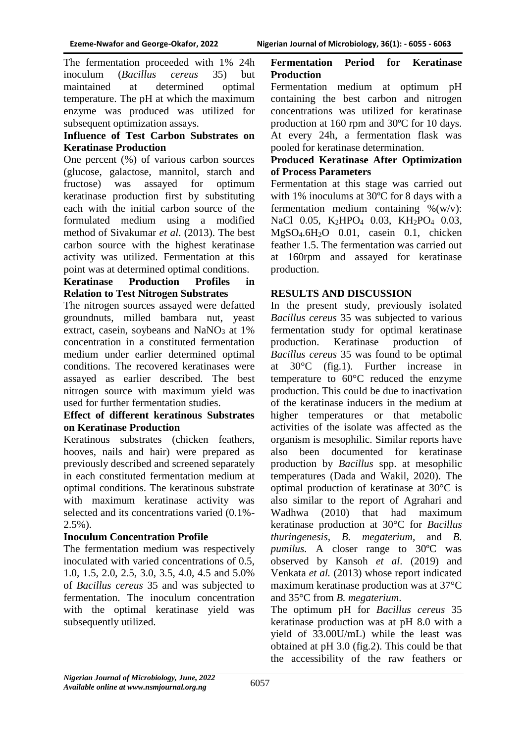The fermentation proceeded with 1% 24h inoculum (*Bacillus cereus* 35) but maintained at determined optimal temperature. The pH at which the maximum enzyme was produced was utilized for subsequent optimization assays.

### **Influence of Test Carbon Substrates on Keratinase Production**

One percent (%) of various carbon sources (glucose, galactose, mannitol, starch and fructose) was assayed for optimum keratinase production first by substituting each with the initial carbon source of the formulated medium using a modified method of Sivakumar *et al*. (2013). The best carbon source with the highest keratinase activity was utilized. Fermentation at this point was at determined optimal conditions.

### **Keratinase Production Profiles in Relation to Test Nitrogen Substrates**

The nitrogen sources assayed were defatted groundnuts, milled bambara nut, yeast extract, casein, soybeans and  $NaNO<sub>3</sub>$  at 1% concentration in a constituted fermentation medium under earlier determined optimal conditions. The recovered keratinases were assayed as earlier described. The best nitrogen source with maximum yield was used for further fermentation studies.

#### **Effect of different keratinous Substrates on Keratinase Production**

Keratinous substrates (chicken feathers, hooves, nails and hair) were prepared as previously described and screened separately in each constituted fermentation medium at optimal conditions. The keratinous substrate with maximum keratinase activity was selected and its concentrations varied (0.1%-  $2.5\%$ ).

## **Inoculum Concentration Profile**

The fermentation medium was respectively inoculated with varied concentrations of 0.5, 1.0, 1.5, 2.0, 2.5, 3.0, 3.5, 4.0, 4.5 and 5.0% of *Bacillus cereus* 35 and was subjected to fermentation. The inoculum concentration with the optimal keratinase yield was subsequently utilized.

#### **Fermentation Period for Keratinase Production**

Fermentation medium at optimum pH containing the best carbon and nitrogen concentrations was utilized for keratinase production at 160 rpm and 30ºC for 10 days. At every 24h, a fermentation flask was pooled for keratinase determination.

### **Produced Keratinase After Optimization of Process Parameters**

Fermentation at this stage was carried out with 1% inoculums at 30ºC for 8 days with a fermentation medium containing  $\%$ (w/v): NaCl 0.05, K<sub>2</sub>HPO<sub>4</sub> 0.03, KH<sub>2</sub>PO<sub>4</sub> 0.03, MgSO4.6H2O 0.01, casein 0.1, chicken feather 1.5. The fermentation was carried out at 160rpm and assayed for keratinase production.

## **RESULTS AND DISCUSSION**

In the present study, previously isolated *Bacillus cereus* 35 was subjected to various fermentation study for optimal keratinase production. Keratinase production of *Bacillus cereus* 35 was found to be optimal at 30°C (fig.1). Further increase in temperature to 60°C reduced the enzyme production. This could be due to inactivation of the keratinase inducers in the medium at higher temperatures or that metabolic activities of the isolate was affected as the organism is mesophilic. Similar reports have also been documented for keratinase production by *Bacillus* spp. at mesophilic temperatures (Dada and Wakil, 2020). The optimal production of keratinase at 30°C is also similar to the report of Agrahari and Wadhwa (2010) that had maximum keratinase production at 30°C for *Bacillus thuringenesis, B. megaterium,* and *B. pumilus.* A closer range to 30ºC was observed by Kansoh *et al*. (2019) and Venkata *et al.* (2013) whose report indicated maximum keratinase production was at 37°C and 35°C from *B. megaterium*.

The optimum pH for *Bacillus cereus* 35 keratinase production was at pH 8.0 with a yield of 33.00U/mL) while the least was obtained at pH 3.0 (fig.2). This could be that the accessibility of the raw feathers or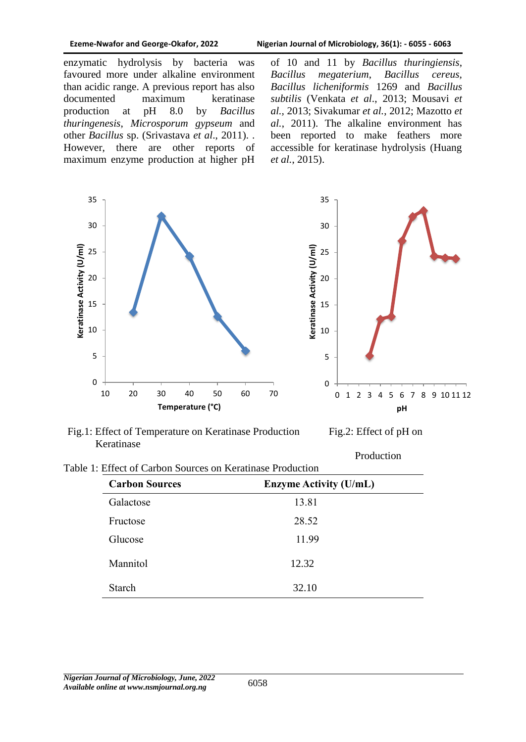enzymatic hydrolysis by bacteria was favoured more under alkaline environment than acidic range. A previous report has also documented maximum keratinase production at pH 8.0 by *Bacillus thuringenesis*, *Microsporum gypseum* and other *Bacillus* sp. (Srivastava *et al*., 2011). . However, there are other reports of maximum enzyme production at higher pH of 10 and 11 by *Bacillus thuringiensis*, *Bacillus megaterium*, *Bacillus cereus, Bacillus licheniformis* 1269 and *Bacillus subtilis* (Venkata *et al*., 2013; Mousavi *et al.,* 2013; Sivakumar *et al.*, 2012; Mazotto *et al.*, 2011). The alkaline environment has been reported to make feathers more accessible for keratinase hydrolysis (Huang *et al.*, 2015).



Fig.1: Effect of Temperature on Keratinase Production Fig.2: Effect of pH on Keratinase

Production

| Table 1: Effect of Carbon Sources on Keratinase Production |  |  |
|------------------------------------------------------------|--|--|
|                                                            |  |  |

| <b>Carbon Sources</b> | <b>Enzyme Activity (U/mL)</b> |
|-----------------------|-------------------------------|
| Galactose             | 13.81                         |
| Fructose              | 28.52                         |
| Glucose               | 11.99                         |
| Mannitol              | 12.32                         |
| <b>Starch</b>         | 32.10                         |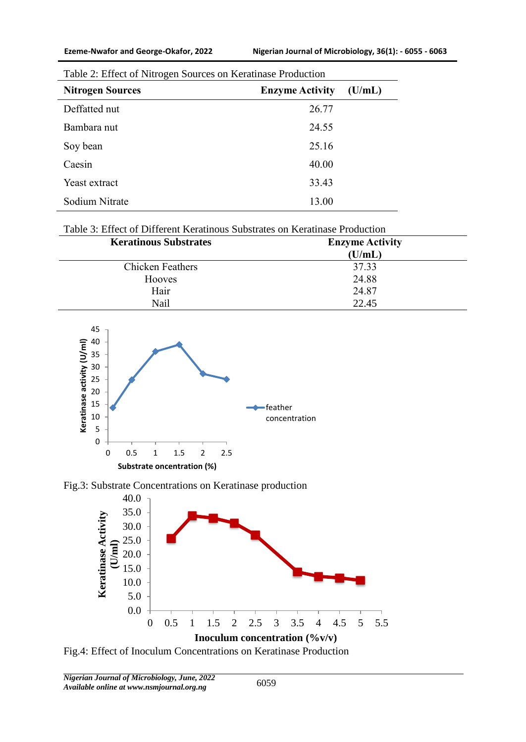| <b>Nitrogen Sources</b> | <b>Enzyme Activity</b> | (U/mL) |
|-------------------------|------------------------|--------|
| Deffatted nut           | 26.77                  |        |
| Bambara nut             | 24.55                  |        |
| Soy bean                | 25.16                  |        |
| Caesin                  | 40.00                  |        |
| Yeast extract           | 33.43                  |        |
| Sodium Nitrate          | 13.00                  |        |

| Table 2: Effect of Nitrogen Sources on Keratinase Production |  |  |
|--------------------------------------------------------------|--|--|
|                                                              |  |  |

## Table 3: Effect of Different Keratinous Substrates on Keratinase Production

| <b>Keratinous Substrates</b> | <b>Enzyme Activity</b> |  |
|------------------------------|------------------------|--|
|                              | (U/mL)                 |  |
| <b>Chicken Feathers</b>      | 37.33                  |  |
| Hooves                       | 24.88                  |  |
| Hair                         | 24.87                  |  |
| Nail                         | 22.45                  |  |



Fig.3: Substrate Concentrations on Keratinase production



Fig.4: Effect of Inoculum Concentrations on Keratinase Production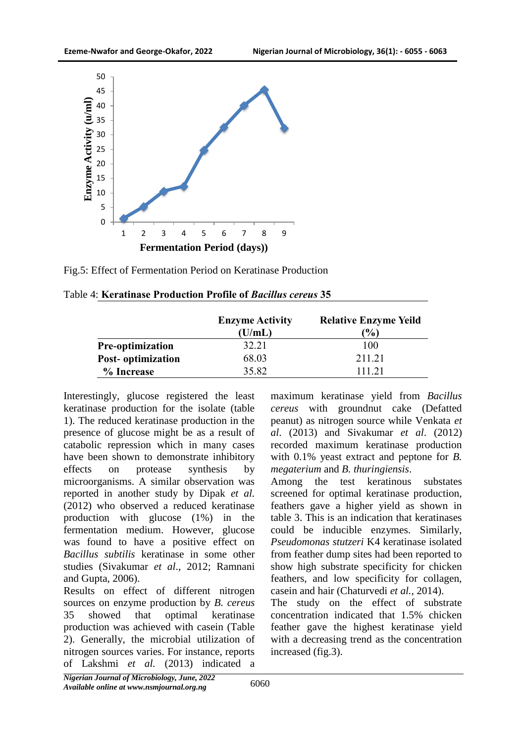

Fig.5: Effect of Fermentation Period on Keratinase Production

|                         | <b>Enzyme Activity</b><br>(U/mL) | <b>Relative Enzyme Yeild</b><br>$\mathcal{O}_0$ |
|-------------------------|----------------------------------|-------------------------------------------------|
| <b>Pre-optimization</b> | 32.21                            | 100                                             |
| Post-optimization       | 68.03                            | 211.21                                          |
| % Increase              | 35.82                            | 111 21                                          |

Table 4: **Keratinase Production Profile of** *Bacillus cereus* **35**

Interestingly, glucose registered the least keratinase production for the isolate (table 1). The reduced keratinase production in the presence of glucose might be as a result of catabolic repression which in many cases have been shown to demonstrate inhibitory effects on protease synthesis by microorganisms. A similar observation was reported in another study by Dipak *et al.*  (2012) who observed a reduced keratinase production with glucose (1%) in the fermentation medium. However, glucose was found to have a positive effect on *Bacillus subtilis* keratinase in some other studies (Sivakumar *et al*., 2012; Ramnani and Gupta, 2006).

Results on effect of different nitrogen sources on enzyme production by *B. cereus*  35 showed that optimal keratinase production was achieved with casein (Table 2). Generally, the microbial utilization of nitrogen sources varies. For instance, reports of Lakshmi *et al.* (2013) indicated a

maximum keratinase yield from *Bacillus cereus* with groundnut cake (Defatted peanut) as nitrogen source while Venkata *et al*. (2013) and Sivakumar *et al*. (2012) recorded maximum keratinase production with 0.1% yeast extract and peptone for *B. megaterium* and *B. thuringiensis*.

Among the test keratinous substates screened for optimal keratinase production, feathers gave a higher yield as shown in table 3. This is an indication that keratinases could be inducible enzymes. Similarly, *Pseudomonas stutzeri* K4 keratinase isolated from feather dump sites had been reported to show high substrate specificity for chicken feathers, and low specificity for collagen, casein and hair (Chaturvedi *et al.,* 2014).

The study on the effect of substrate concentration indicated that 1.5% chicken feather gave the highest keratinase yield with a decreasing trend as the concentration increased (fig.3).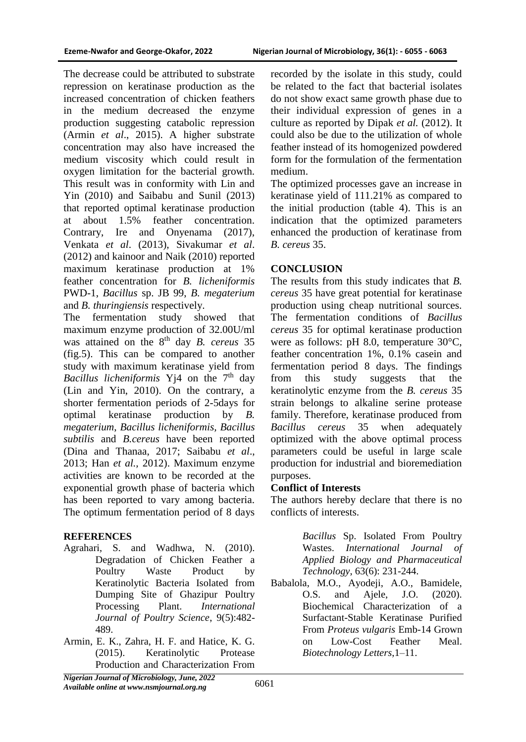The decrease could be attributed to substrate repression on keratinase production as the increased concentration of chicken feathers in the medium decreased the enzyme production suggesting catabolic repression (Armin *et al*., 2015). A higher substrate concentration may also have increased the medium viscosity which could result in oxygen limitation for the bacterial growth. This result was in conformity with Lin and Yin (2010) and Saibabu and Sunil (2013) that reported optimal keratinase production at about 1.5% feather concentration. Contrary, Ire and Onyenama (2017), Venkata *et al*. (2013), Sivakumar *et al*. (2012) and kainoor and Naik (2010) reported maximum keratinase production at 1% feather concentration for *B. licheniformis* PWD-1, *Bacillus* sp. JB 99, *B. megaterium* and *B. thuringiensis* respectively.

The fermentation study showed that maximum enzyme production of 32.00U/ml was attained on the 8<sup>th</sup> day *B. cereus* 35 (fig.5). This can be compared to another study with maximum keratinase yield from *Bacillus licheniformis* Y<sub>1</sub>4 on the 7<sup>th</sup> day (Lin and Yin, 2010). On the contrary, a shorter fermentation periods of 2-5days for optimal keratinase production by *B. megaterium*, *Bacillus licheniformis, Bacillus subtilis* and *B.cereus* have been reported (Dina and Thanaa, 2017; Saibabu *et al*., 2013; Han *et al.,* 2012). Maximum enzyme activities are known to be recorded at the exponential growth phase of bacteria which has been reported to vary among bacteria. The optimum fermentation period of 8 days

#### **REFERENCES**

- Agrahari, S. and Wadhwa, N. (2010). Degradation of Chicken Feather a Poultry Waste Product by Keratinolytic Bacteria Isolated from Dumping Site of Ghazipur Poultry Processing Plant. *International Journal of Poultry Science*, 9(5):482- 489.
- Armin, E. K., Zahra, H. F. and Hatice, K. G. (2015). Keratinolytic Protease Production and Characterization From

recorded by the isolate in this study, could be related to the fact that bacterial isolates do not show exact same growth phase due to their individual expression of genes in a culture as reported by Dipak *et al.* (2012). It could also be due to the utilization of whole feather instead of its homogenized powdered form for the formulation of the fermentation medium.

The optimized processes gave an increase in keratinase yield of 111.21% as compared to the initial production (table 4). This is an indication that the optimized parameters enhanced the production of keratinase from *B. cereus* 35.

### **CONCLUSION**

The results from this study indicates that *B. cereus* 35 have great potential for keratinase production using cheap nutritional sources. The fermentation conditions of *Bacillus cereus* 35 for optimal keratinase production were as follows: pH 8.0, temperature 30°C, feather concentration 1%, 0.1% casein and fermentation period 8 days. The findings from this study suggests that the keratinolytic enzyme from the *B. cereus* 35 strain belongs to alkaline serine protease family. Therefore, keratinase produced from *Bacillus cereus* 35 when adequately optimized with the above optimal process parameters could be useful in large scale production for industrial and bioremediation purposes.

## **Conflict of Interests**

The authors hereby declare that there is no conflicts of interests.

> *Bacillus* Sp. Isolated From Poultry Wastes. *International Journal of Applied Biology and Pharmaceutical Technology*, 63(6): 231-244.

Babalola, M.O., Ayodeji, A.O., Bamidele, O.S. and Ajele, J.O. (2020). Biochemical Characterization of a Surfactant-Stable Keratinase Purified From *Proteus vulgaris* Emb-14 Grown on Low-Cost Feather Meal. *Biotechnology Letters*,1–11.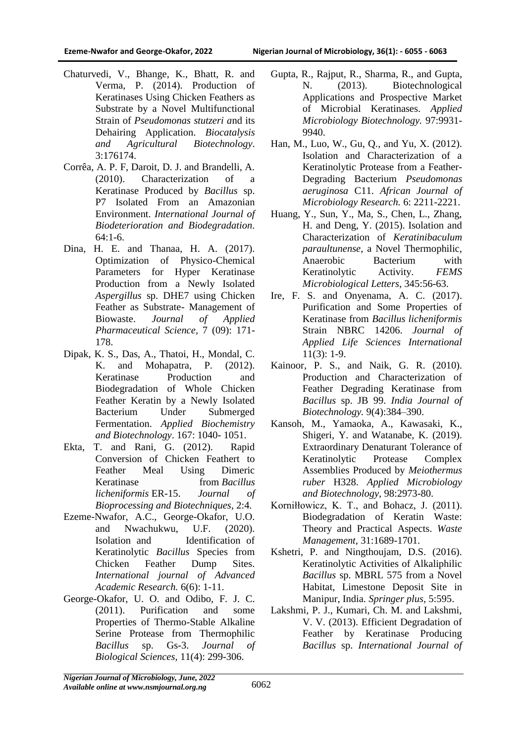- Chaturvedi, V., Bhange, K., Bhatt, R. and Verma, P. (2014). Production of Keratinases Using Chicken Feathers as Substrate by a Novel Multifunctional Strain of *Pseudomonas stutzeri a*nd its Dehairing Application. *Biocatalysis and Agricultural Biotechnology*. 3:176174.
- Corrêa, A. P. F, Daroit, D. J. and Brandelli, A. (2010). Characterization of a Keratinase Produced by *Bacillus* sp. P7 Isolated From an Amazonian Environment. *International Journal of Biodeterioration and Biodegradation*. 64:1-6.
- Dina, H. E. and Thanaa, H. A. (2017). Optimization of Physico-Chemical Parameters for Hyper Keratinase Production from a Newly Isolated *Aspergillus* sp. DHE7 using Chicken Feather as Substrate- Management of Biowaste. *Journal of Applied Pharmaceutical Science,* 7 (09): 171- 178.
- Dipak, K. S., Das, A., Thatoi, H., Mondal, C. K. and Mohapatra, P. (2012). Keratinase Production and Biodegradation of Whole Chicken Feather Keratin by a Newly Isolated Bacterium Under Submerged Fermentation. *Applied Biochemistry and Biotechnology*. 167: 1040- 1051.
- Ekta, T. and Rani, G. (2012). Rapid Conversion of Chicken Feathert to Feather Meal Using Dimeric Keratinase from *Bacillus licheniformis* ER-15. *Journal of Bioprocessing and Biotechniques*, 2:4.
- Ezeme-Nwafor, A.C., George-Okafor, U.O. and Nwachukwu, U.F. (2020). Isolation and Identification of Keratinolytic *Bacillus* Species from Chicken Feather Dump Sites. *International journal of Advanced Academic Research.* 6(6): 1-11.
- George-Okafor, U. O. and Odibo, F. J. C. (2011). Purification and some Properties of Thermo-Stable Alkaline Serine Protease from Thermophilic *Bacillus* sp. Gs-3. *Journal of Biological Sciences,* 11(4): 299-306.
- Gupta, R., Rajput, R., Sharma, R., and Gupta, N. (2013). Biotechnological Applications and Prospective Market of Microbial Keratinases. *Applied Microbiology Biotechnology.* 97:9931- 9940.
- Han, M., Luo, W., Gu, Q., and Yu, X. (2012). Isolation and Characterization of a Keratinolytic Protease from a Feather-Degrading Bacterium *Pseudomonas aeruginosa* C11. *African Journal of Microbiology Research.* 6: 2211-2221.
- Huang, Y., Sun, Y., Ma, S., Chen, L., Zhang, H. and Deng, Y. (2015). Isolation and Characterization of *Keratinibaculum paraultunense*, a Novel Thermophilic, Anaerobic Bacterium with Keratinolytic Activity. *FEMS Microbiological Letters*, 345:56-63.
- Ire, F. S. and Onyenama, A. C. (2017). Purification and Some Properties of Keratinase from *Bacillus licheniformis* Strain NBRC 14206. *Journal of Applied Life Sciences International* 11(3): 1-9.
- Kainoor, P. S., and Naik, G. R. (2010). Production and Characterization of Feather Degrading Keratinase from *Bacillus* sp. JB 99. *India Journal of Biotechnology.* 9(4):384–390.
- Kansoh, M., Yamaoka, A., Kawasaki, K., Shigeri, Y. and Watanabe, K. (2019). Extraordinary Denaturant Tolerance of Keratinolytic Protease Complex Assemblies Produced by *Meiothermus ruber* H328. *Applied Microbiology and Biotechnology,* 98:2973-80.
- Korniłłowicz, K. T., and Bohacz, J. (2011). Biodegradation of Keratin Waste: Theory and Practical Aspects. *Waste Management,* 31:1689-1701.
- Kshetri, P. and Ningthoujam, D.S. (2016). Keratinolytic Activities of Alkaliphilic *Bacillus* sp. MBRL 575 from a Novel Habitat, Limestone Deposit Site in Manipur, India. *Springer plus,* 5:595.
- Lakshmi, P. J., Kumari, Ch. M. and Lakshmi, V. V. (2013). Efficient Degradation of Feather by Keratinase Producing *Bacillus* sp. *International Journal of*

*Nigerian Journal of Microbiology, June, 2022 Available online at www.nsmjournal.org.ng*